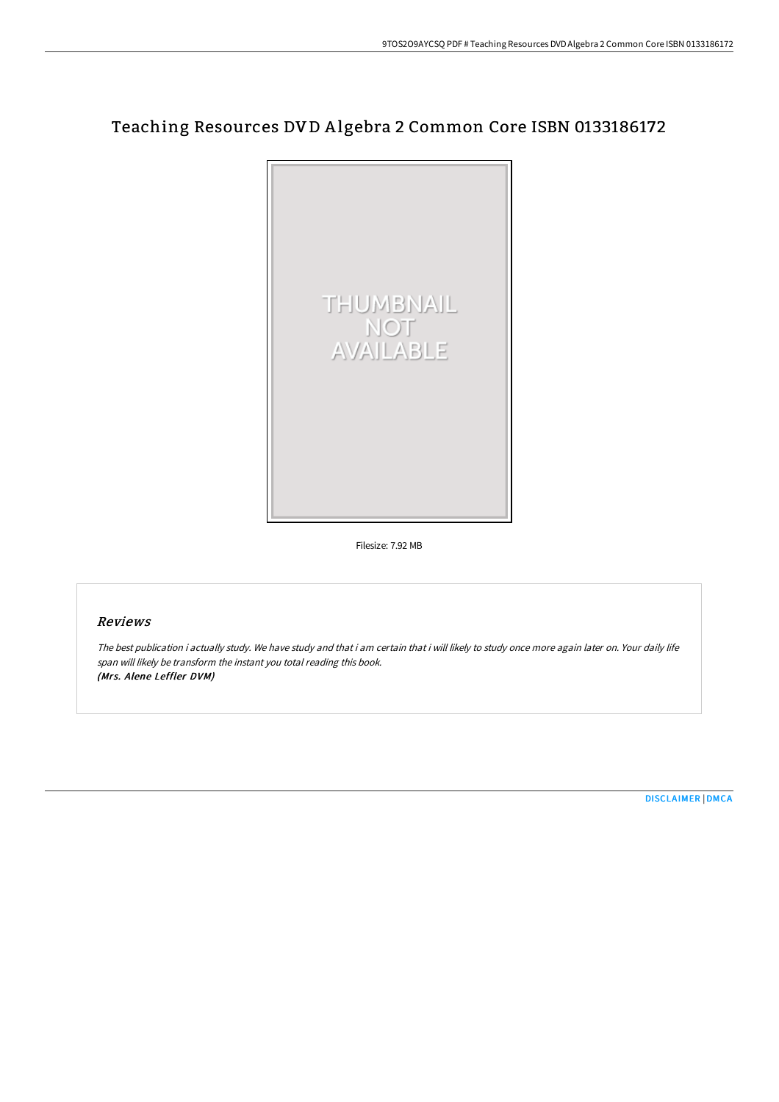# Teaching Resources DV D A lgebra 2 Common Core ISBN 0133186172



Filesize: 7.92 MB

## Reviews

The best publication i actually study. We have study and that i am certain that i will likely to study once more again later on. Your daily life span will likely be transform the instant you total reading this book. (Mrs. Alene Leffler DVM)

[DISCLAIMER](http://digilib.live/disclaimer.html) | [DMCA](http://digilib.live/dmca.html)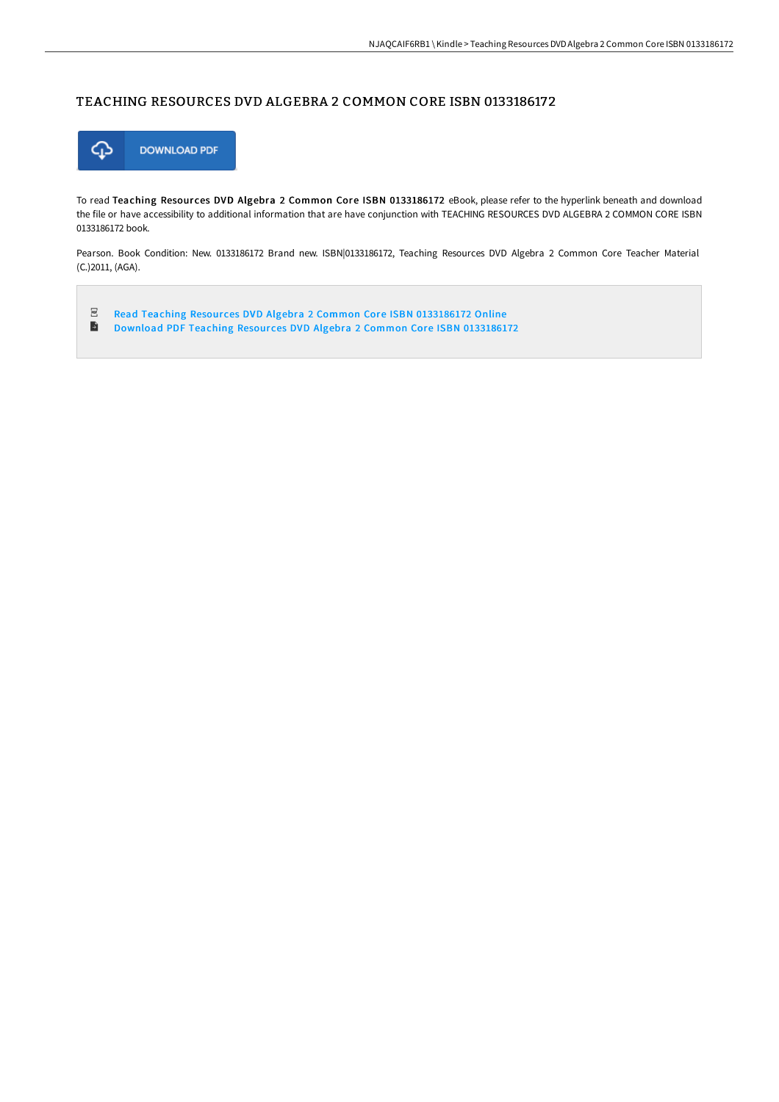#### TEACHING RESOURCES DVD ALGEBRA 2 COMMON CORE ISBN 0133186172



To read Teaching Resources DVD Algebra 2 Common Core ISBN 0133186172 eBook, please refer to the hyperlink beneath and download the file or have accessibility to additional information that are have conjunction with TEACHING RESOURCES DVD ALGEBRA 2 COMMON CORE ISBN 0133186172 book.

Pearson. Book Condition: New. 0133186172 Brand new. ISBN|0133186172, Teaching Resources DVD Algebra 2 Common Core Teacher Material (C.)2011, (AGA).

 $_{\rm{pp}}$ Read Teaching Resources DVD Algebra 2 Common Core ISBN [0133186172](http://digilib.live/teaching-resources-dvd-algebra-2-common-core-isb.html) Online  $\blacksquare$ Download PDF Teaching Resources DVD Algebra 2 Common Core ISBN [0133186172](http://digilib.live/teaching-resources-dvd-algebra-2-common-core-isb.html)